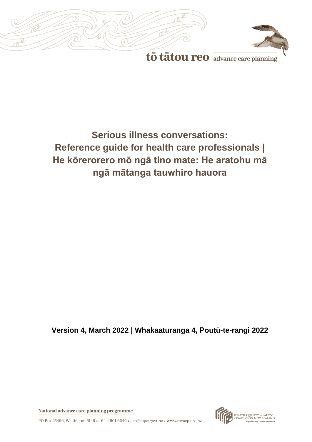



to tatou reo advance care planning

# **Serious illness conversations: Reference guide for health care professionals | He kōrerorero mō ngā tino mate: He aratohu mā ngā mātanga tauwhiro hauora**

**Version 4, March 2022 | Whakaaturanga 4, Poutū-te-rangi 2022**



National advance care planning programme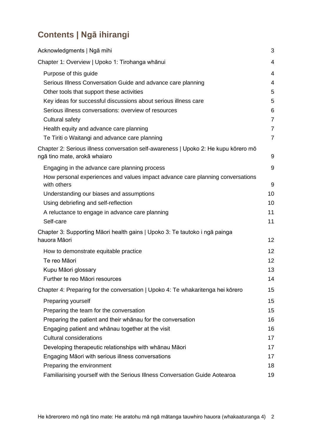# **Contents | Ngā ihirangi**

| Acknowledgments   Ngā mihi                                                                                          | 3              |
|---------------------------------------------------------------------------------------------------------------------|----------------|
| Chapter 1: Overview   Upoko 1: Tirohanga whānui                                                                     | 4              |
| Purpose of this guide                                                                                               | 4              |
| Serious Illness Conversation Guide and advance care planning                                                        | $\overline{4}$ |
| Other tools that support these activities                                                                           | 5              |
| Key ideas for successful discussions about serious illness care                                                     | 5              |
| Serious illness conversations: overview of resources                                                                | 6              |
| Cultural safety                                                                                                     | $\overline{7}$ |
| Health equity and advance care planning                                                                             | $\overline{7}$ |
| Te Tiriti o Waitangi and advance care planning                                                                      | $\overline{7}$ |
| Chapter 2: Serious illness conversation self-awareness   Upoko 2: He kupu kōrero mō<br>ngā tino mate, arokā whaiaro | 9              |
| Engaging in the advance care planning process                                                                       | 9              |
| How personal experiences and values impact advance care planning conversations<br>with others                       | 9              |
| Understanding our biases and assumptions                                                                            | 10             |
| Using debriefing and self-reflection                                                                                | 10             |
| A reluctance to engage in advance care planning                                                                     | 11             |
| Self-care                                                                                                           | 11             |
| Chapter 3: Supporting Māori health gains   Upoko 3: Te tautoko i ngā painga                                         |                |
| hauora Māori                                                                                                        | 12             |
| How to demonstrate equitable practice                                                                               | 12             |
| Te reo Māori                                                                                                        | 12             |
| Kupu Māori glossary                                                                                                 | 13             |
| Further te reo Māori resources                                                                                      | 14             |
| Chapter 4: Preparing for the conversation   Upoko 4: Te whakaritenga hei kōrero                                     | 15             |
| Preparing yourself                                                                                                  | 15             |
| Preparing the team for the conversation                                                                             | 15             |
| Preparing the patient and their whanau for the conversation                                                         | 16             |
| Engaging patient and whanau together at the visit                                                                   | 16             |
| <b>Cultural considerations</b>                                                                                      | 17             |
| Developing therapeutic relationships with whānau Māori                                                              | 17             |
| Engaging Māori with serious illness conversations                                                                   | 17             |
| Preparing the environment                                                                                           | 18             |
| Familiarising yourself with the Serious Illness Conversation Guide Aotearoa                                         | 19             |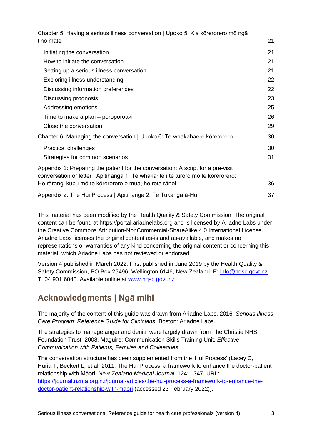[Chapter 5: Having a serious illness conversation | Upoko 5: Kia kōrerorero mō ngā](#page-20-0)  [tino mate](#page-20-0) 21

| Initiating the conversation                                                                                                                                           | 21 |
|-----------------------------------------------------------------------------------------------------------------------------------------------------------------------|----|
| How to initiate the conversation                                                                                                                                      | 21 |
| Setting up a serious illness conversation                                                                                                                             | 21 |
| Exploring illness understanding                                                                                                                                       | 22 |
| Discussing information preferences                                                                                                                                    | 22 |
| Discussing prognosis                                                                                                                                                  | 23 |
| Addressing emotions                                                                                                                                                   | 25 |
| Time to make a plan – poroporoaki                                                                                                                                     | 26 |
| Close the conversation                                                                                                                                                | 29 |
| Chapter 6: Managing the conversation   Upoko 6: Te whakahaere kōrerorero                                                                                              | 30 |
| <b>Practical challenges</b>                                                                                                                                           | 30 |
| Strategies for common scenarios                                                                                                                                       | 31 |
| Appendix 1: Preparing the patient for the conversation: A script for a pre-visit<br>conversation or letter   Āpitihanga 1: Te whakarite i te tūroro mō te kōrerorero: |    |
| He rārangi kupu mō te kōrerorero o mua, he reta rānei                                                                                                                 | 36 |
| Appendix 2: The Hui Process   Āpitihanga 2: Te Tukanga ā-Hui                                                                                                          | 37 |

This material has been modified by the Health Quality & Safety Commission. The original content can be found at https://portal.ariadnelabs.org and is licensed by Ariadne Labs under the Creative Commons Attribution-NonCommercial-ShareAlike 4.0 International License. Ariadne Labs licenses the original content as-is and as-available, and makes no representations or warranties of any kind concerning the original content or concerning this material, which Ariadne Labs has not reviewed or endorsed.

Version 4 published in March 2022. First published in June 2019 by the Health Quality & Safety Commission, PO Box 25496, Wellington 6146, New Zealand. E: [info@hqsc.govt.nz](mailto:info@hqsc.govt.nz) T: 04 901 6040. Available online at [www.hqsc.govt.nz](http://www.hqsc.govt.nz/)

# <span id="page-2-0"></span>**Acknowledgments | Ngā mihi**

The majority of the content of this guide was drawn from Ariadne Labs. 2016*. Serious Illness Care Program: Reference Guide for Clinicians*. Boston: Ariadne Labs.

The strategies to manage anger and denial were largely drawn from The Christie NHS Foundation Trust. 2008. Maguire: Communication Skills Training Unit. *Effective Communication with Patients, Families and Colleagues*.

The conversation structure has been supplemented from the 'Hui Process' (Lacey C, Huria T, Beckert L, et al. 2011. The Hui Process: a framework to enhance the doctor-patient relationship with Māori. *New Zealand Medical Journal*. 124: 1347. URL: [https://journal.nzma.org.nz/journal-articles/the-hui-process-a-framework-to-enhance-the](https://journal.nzma.org.nz/journal-articles/the-hui-process-a-framework-to-enhance-the-doctor-patient-relationship-with-maori)[doctor-patient-relationship-with-maori](https://journal.nzma.org.nz/journal-articles/the-hui-process-a-framework-to-enhance-the-doctor-patient-relationship-with-maori) (accessed 23 February 2022)).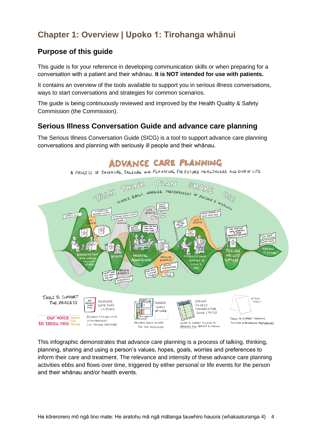# <span id="page-3-0"></span>**Chapter 1: Overview | Upoko 1: Tirohanga whānui**

# <span id="page-3-1"></span>**Purpose of this guide**

This guide is for your reference in developing communication skills or when preparing for a conversation with a patient and their whānau. **It is NOT intended for use with patients.** 

It contains an overview of the tools available to support you in serious illness conversations, ways to start conversations and strategies for common scenarios.

The guide is being continuously reviewed and improved by the Health Quality & Safety Commission (the Commission).

# <span id="page-3-2"></span>**Serious Illness Conversation Guide and advance care planning**

The Serious Illness Conversation Guide (SICG) is a tool to support advance care planning conversations and planning with seriously ill people and their whānau.



<span id="page-3-3"></span>This infographic demonstrates that advance care planning is a process of talking, thinking, planning, sharing and using a person's values, hopes, goals, worries and preferences to inform their care and treatment. The relevance and intensity of these advance care planning activities ebbs and flows over time, triggered by either personal or life events for the person and their whānau and/or health events.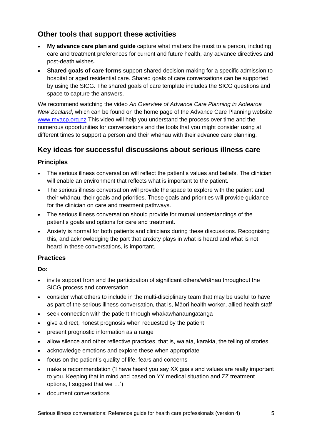# **Other tools that support these activities**

- **[My advance care plan and guide](https://www.hqsc.govt.nz/our-programmes/advance-care-planning/information-for-consumers/publications-and-resources/publication/3212/)** capture what matters the most to a person, including care and treatment preferences for current and future health, any advance directives and post-death wishes.
- **[Shared goals of care forms](https://www.hqsc.govt.nz/our-programmes/advance-care-planning/talking-covid/documenting/)** support shared decision-making for a specific admission to hospital or aged residential care. Shared goals of care conversations can be supported by using the SICG. The shared goals of care template includes the SICG questions and space to capture the answers.

We recommend watching the video *An Overview of Advance Care Planning in Aotearoa New Zealand*, which can be found on the home page of the Advance Care Planning website [www.myacp.org.nz](http://www.myacp.org.nz/) This video will help you understand the process over time and the numerous opportunities for conversations and the tools that you might consider using at different times to support a person and their whānau with their advance care planning.

# <span id="page-4-0"></span>**Key ideas for successful discussions about serious illness care**

### **Principles**

- The serious illness conversation will reflect the patient's values and beliefs. The clinician will enable an environment that reflects what is important to the patient.
- The serious illness conversation will provide the space to explore with the patient and their whānau, their goals and priorities. These goals and priorities will provide guidance for the clinician on care and treatment pathways.
- The serious illness conversation should provide for mutual understandings of the patient's goals and options for care and treatment.
- Anxiety is normal for both patients and clinicians during these discussions. Recognising this, and acknowledging the part that anxiety plays in what is heard and what is not heard in these conversations, is important.

### **Practices**

**Do:**

- invite support from and the participation of significant others/whānau throughout the SICG process and conversation
- consider what others to include in the multi-disciplinary team that may be useful to have as part of the serious illness conversation, that is, Māori health worker, allied health staff
- seek connection with the patient through whakawhanaungatanga
- give a direct, honest prognosis when requested by the patient
- present prognostic information as a range
- allow silence and other reflective practices, that is, waiata, karakia, the telling of stories
- acknowledge emotions and explore these when appropriate
- focus on the patient's quality of life, fears and concerns
- make a recommendation ('I have heard you say XX goals and values are really important to you. Keeping that in mind and based on YY medical situation and ZZ treatment options, I suggest that we ...')
- document conversations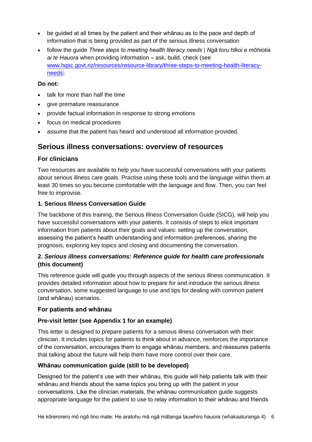- be guided at all times by the patient and their whānau as to the pace and depth of information that is being provided as part of the serious illness conversation
- follow the guide *Three steps to meeting health literacy needs | Ngā toru hīkoi e mōhiotia ai te Hauora* when providing information – ask, build, check (see [www.hqsc.govt.nz/resources/resource-library/three-steps-to-meeting-health-literacy](http://www.hqsc.govt.nz/resources/resource-library/three-steps-to-meeting-health-literacy-needs)[needs](http://www.hqsc.govt.nz/resources/resource-library/three-steps-to-meeting-health-literacy-needs)).

#### **Do not:**

- talk for more than half the time
- give premature reassurance
- provide factual information in response to strong emotions
- focus on medical procedures
- assume that the patient has heard and understood all information provided.

### <span id="page-5-0"></span>**Serious illness conversations: overview of resources**

### **For clinicians**

Two resources are available to help you have successful conversations with your patients about serious illness care goals. Practise using these tools and the language within them at least 30 times so you become comfortable with the language and flow. Then, you can feel free to improvise.

### **1. Serious Illness Conversation Guide**

The backbone of this training, the Serious Illness Conversation Guide (SICG), will help you have successful conversations with your patients. It consists of steps to elicit important information from patients about their goals and values: setting up the conversation, assessing the patient's health understanding and information preferences, sharing the prognosis, exploring key topics and closing and documenting the conversation.

### **2.** *Serious illness conversations: Reference guide for health care professionals* **(this document)**

This reference guide will guide you through aspects of the serious illness communication. It provides detailed information about how to prepare for and introduce the serious illness conversation, some suggested language to use and tips for dealing with common patient (and whānau) scenarios.

### **For patients and whānau**

### **Pre-visit letter (see Appendix 1 for an example)**

This letter is designed to prepare patients for a serious illness conversation with their clinician. It includes topics for patients to think about in advance, reinforces the importance of the conversation, encourages them to engage whānau members, and reassures patients that talking about the future will help them have more control over their care.

### **Whānau communication guide (still to be developed)**

Designed for the patient's use with their whānau, this guide will help patients talk with their whānau and friends about the same topics you bring up with the patient in your conversations. Like the clinician materials, the whānau communication guide suggests appropriate language for the patient to use to relay information to their whānau and friends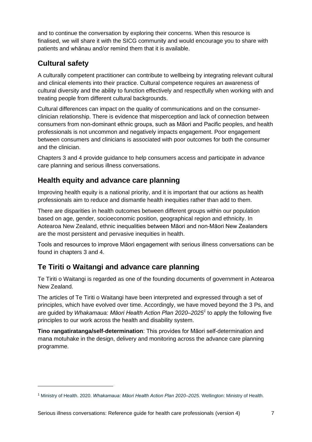and to continue the conversation by exploring their concerns. When this resource is finalised, we will share it with the SICG community and would encourage you to share with patients and whānau and/or remind them that it is available.

# <span id="page-6-0"></span>**Cultural safety**

A culturally competent practitioner can contribute to wellbeing by integrating relevant cultural and clinical elements into their practice. Cultural competence requires an awareness of cultural diversity and the ability to function effectively and respectfully when working with and treating people from different cultural backgrounds.

Cultural differences can impact on the quality of communications and on the consumerclinician relationship. There is evidence that misperception and lack of connection between consumers from non-dominant ethnic groups, such as Māori and Pacific peoples, and health professionals is not uncommon and negatively impacts engagement. Poor engagement between consumers and clinicians is associated with poor outcomes for both the consumer and the clinician.

Chapters 3 and 4 provide guidance to help consumers access and participate in advance care planning and serious illness conversations.

# <span id="page-6-1"></span>**Health equity and advance care planning**

Improving health equity is a national priority, and it is important that our actions as health professionals aim to reduce and dismantle health inequities rather than add to them.

There are disparities in health outcomes between different groups within our population based on age, gender, socioeconomic position, geographical region and ethnicity. In Aotearoa New Zealand, ethnic inequalities between Māori and non-Māori New Zealanders are the most persistent and pervasive inequities in health.

Tools and resources to improve Māori engagement with serious illness conversations can be found in chapters 3 and 4.

# <span id="page-6-2"></span>**Te Tiriti o Waitangi and advance care planning**

Te Tiriti o Waitangi is regarded as one of the founding documents of government in Aotearoa New Zealand.

The articles of Te Tiriti o Waitangi have been interpreted and expressed through a set of principles, which have evolved over time. Accordingly, we have moved beyond the 3 Ps, and are guided by *Whakamaua: Māori Health Action Plan 2020–2025<sup>1</sup>* to apply the following five principles to our work across the health and disability system.

**Tino rangatiratanga/self-determination**: This provides for Māori self-determination and mana motuhake in the design, delivery and monitoring across the advance care planning programme.

<sup>1</sup> Ministry of Health. 2020. *Whakamaua: Māori Health Action Plan 2020–2025*. Wellington: Ministry of Health.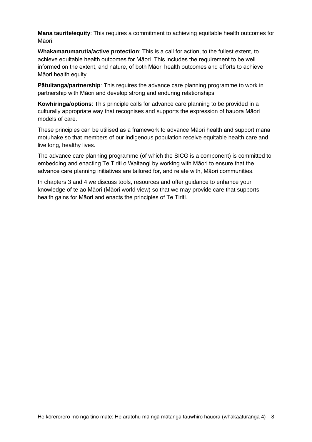**Mana taurite/equity:** This requires a commitment to achieving equitable health outcomes for Māori.

**Whakamarumarutia/active protection**: This is a call for action, to the fullest extent, to achieve equitable health outcomes for Māori. This includes the requirement to be well informed on the extent, and nature, of both Māori health outcomes and efforts to achieve Māori health equity.

**Pātuitanga/partnership**: This requires the advance care planning programme to work in partnership with Māori and develop strong and enduring relationships.

**Kōwhiringa/options**: This principle calls for advance care planning to be provided in a culturally appropriate way that recognises and supports the expression of hauora Māori models of care.

These principles can be utilised as a framework to advance Māori health and support mana motuhake so that members of our indigenous population receive equitable health care and live long, healthy lives.

The advance care planning programme (of which the SICG is a component) is committed to embedding and enacting Te Tiriti o Waitangi by working with Māori to ensure that the advance care planning initiatives are tailored for, and relate with, Māori communities.

In chapters 3 and 4 we discuss tools, resources and offer guidance to enhance your knowledge of te ao Māori (Māori world view) so that we may provide care that supports health gains for Māori and enacts the principles of Te Tiriti.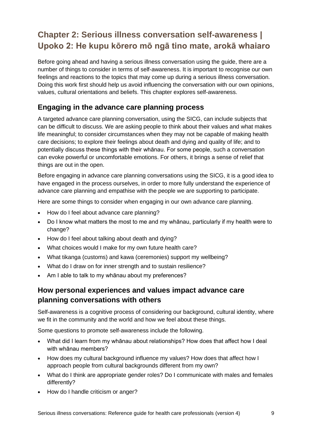# <span id="page-8-0"></span>**Chapter 2: Serious illness conversation self-awareness | Upoko 2: He kupu kōrero mō ngā tino mate, arokā whaiaro**

Before going ahead and having a serious illness conversation using the guide, there are a number of things to consider in terms of self-awareness. It is important to recognise our own feelings and reactions to the topics that may come up during a serious illness conversation. Doing this work first should help us avoid influencing the conversation with our own opinions, values, cultural orientations and beliefs. This chapter explores self-awareness.

# <span id="page-8-1"></span>**Engaging in the advance care planning process**

A targeted advance care planning conversation, using the SICG, can include subjects that can be difficult to discuss. We are asking people to think about their values and what makes life meaningful; to consider circumstances when they may not be capable of making health care decisions; to explore their feelings about death and dying and quality of life; and to potentially discuss these things with their whānau. For some people, such a conversation can evoke powerful or uncomfortable emotions. For others, it brings a sense of relief that things are out in the open.

Before engaging in advance care planning conversations using the SICG, it is a good idea to have engaged in the process ourselves, in order to more fully understand the experience of advance care planning and empathise with the people we are supporting to participate.

Here are some things to consider when engaging in our own advance care planning.

- How do I feel about advance care planning?
- Do I know what matters the most to me and my whānau, particularly if my health were to change?
- How do I feel about talking about death and dying?
- What choices would I make for my own future health care?
- What tikanga (customs) and kawa (ceremonies) support my wellbeing?
- What do I draw on for inner strength and to sustain resilience?
- Am I able to talk to my whānau about my preferences?

## <span id="page-8-2"></span>**How personal experiences and values impact advance care planning conversations with others**

Self-awareness is a cognitive process of considering our background, cultural identity, where we fit in the community and the world and how we feel about these things.

Some questions to promote self-awareness include the following.

- What did I learn from my whānau about relationships? How does that affect how I deal with whānau members?
- How does my cultural background influence my values? How does that affect how I approach people from cultural backgrounds different from my own?
- What do I think are appropriate gender roles? Do I communicate with males and females differently?
- How do I handle criticism or anger?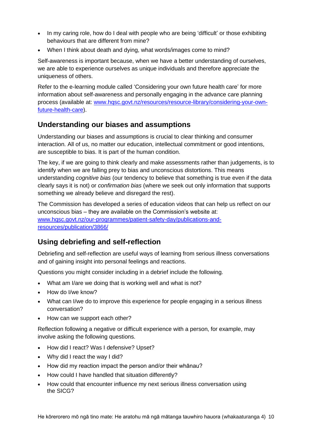- In my caring role, how do I deal with people who are being 'difficult' or those exhibiting behaviours that are different from mine?
- When I think about death and dying, what words/images come to mind?

Self-awareness is important because, when we have a better understanding of ourselves, we are able to experience ourselves as unique individuals and therefore appreciate the uniqueness of others.

Refer to the e-learning module called 'Considering your own future health care' for more information about self-awareness and personally engaging in the advance care planning process (available at: [www.hqsc.govt.nz/resources/resource-library/considering-your-own](http://www.hqsc.govt.nz/resources/resource-library/considering-your-own-future-health-care)[future-health-care\)](http://www.hqsc.govt.nz/resources/resource-library/considering-your-own-future-health-care).

### <span id="page-9-0"></span>**Understanding our biases and assumptions**

Understanding our biases and assumptions is crucial to clear thinking and consumer interaction. All of us, no matter our education, intellectual commitment or good intentions, are susceptible to bias. It is part of the human condition.

The key, if we are going to think clearly and make assessments rather than judgements, is to identify when we are falling prey to bias and unconscious distortions. This means understanding *cognitive bias* (our tendency to believe that something is true even if the data clearly says it is not) or *confirmation bias* (where we seek out only information that supports something we already believe and disregard the rest).

The Commission has developed a series of education videos that can help us reflect on our unconscious bias – they are available on the Commission's website at: [www.hqsc.govt.nz/our-programmes/patient-safety-day/publications-and](http://www.hqsc.govt.nz/our-programmes/patient-safety-day/publications-and-resources/publication/3866/)[resources/publication/3866/](http://www.hqsc.govt.nz/our-programmes/patient-safety-day/publications-and-resources/publication/3866/)

# <span id="page-9-1"></span>**Using debriefing and self-reflection**

Debriefing and self-reflection are useful ways of learning from serious illness conversations and of gaining insight into personal feelings and reactions.

Questions you might consider including in a debrief include the following.

- What am I/are we doing that is working well and what is not?
- How do I/we know?
- What can I/we do to improve this experience for people engaging in a serious illness conversation?
- How can we support each other?

Reflection following a negative or difficult experience with a person, for example, may involve asking the following questions.

- How did I react? Was I defensive? Upset?
- Why did I react the way I did?
- How did my reaction impact the person and/or their whānau?
- How could I have handled that situation differently?
- <span id="page-9-2"></span>• How could that encounter influence my next serious illness conversation using the SICG?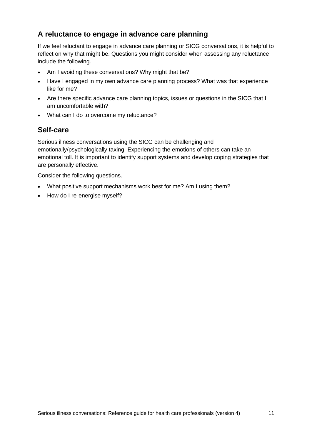# **A reluctance to engage in advance care planning**

If we feel reluctant to engage in advance care planning or SICG conversations, it is helpful to reflect on why that might be. Questions you might consider when assessing any reluctance include the following.

- Am I avoiding these conversations? Why might that be?
- Have I engaged in my own advance care planning process? What was that experience like for me?
- Are there specific advance care planning topics, issues or questions in the SICG that I am uncomfortable with?
- What can I do to overcome my reluctance?

## <span id="page-10-0"></span>**Self-care**

Serious illness conversations using the SICG can be challenging and emotionally/psychologically taxing. Experiencing the emotions of others can take an emotional toll. It is important to identify support systems and develop coping strategies that are personally effective.

Consider the following questions.

- What positive support mechanisms work best for me? Am I using them?
- How do I re-energise myself?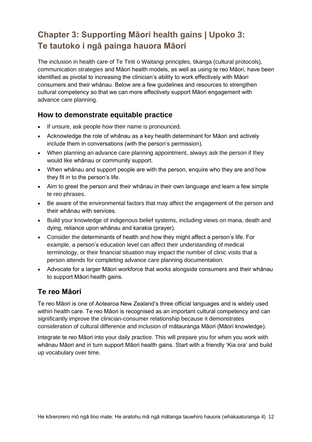# <span id="page-11-0"></span>**Chapter 3: Supporting Māori health gains | Upoko 3: Te tautoko i ngā painga hauora Māori**

The inclusion in health care of Te Tiriti o Waitangi principles, tikanga (cultural protocols), communication strategies and Māori health models, as well as using te reo Māori, have been identified as pivotal to increasing the clinician's ability to work effectively with Māori consumers and their whānau. Below are a few guidelines and resources to strengthen cultural competency so that we can more effectively support Māori engagement with advance care planning.

## <span id="page-11-1"></span>**How to demonstrate equitable practice**

- If unsure, ask people how their name is pronounced.
- Acknowledge the role of whānau as a key health determinant for Māori and actively include them in conversations (with the person's permission).
- When planning an advance care planning appointment, always ask the person if they would like whānau or community support.
- When whānau and support people are with the person, enquire who they are and how they fit in to the person's life.
- Aim to greet the person and their whānau in their own language and learn a few simple te reo phrases.
- Be aware of the environmental factors that may affect the engagement of the person and their whānau with services.
- Build your knowledge of indigenous belief systems, including views on mana, death and dying, reliance upon whānau and karakia (prayer).
- Consider the determinants of health and how they might affect a person's life. For example, a person's education level can affect their understanding of medical terminology, or their financial situation may impact the number of clinic visits that a person attends for completing advance care planning documentation.
- Advocate for a larger Māori workforce that works alongside consumers and their whānau to support Māori health gains.

# <span id="page-11-2"></span>**Te reo Māori**

Te reo Māori is one of Aotearoa New Zealand's three official languages and is widely used within health care. Te reo Māori is recognised as an important cultural competency and can significantly improve the clinician-consumer relationship because it demonstrates consideration of cultural difference and inclusion of mātauranga Māori (Māori knowledge).

Integrate te reo Māori into your daily practice. This will prepare you for when you work with whānau Māori and in turn support Māori health gains. Start with a friendly 'Kia ora' and build up vocabulary over time.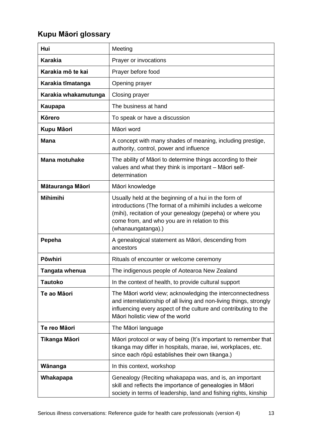# <span id="page-12-0"></span>**Kupu Māori glossary**

| Hui                  | Meeting                                                                                                                                                                                                                                                   |  |
|----------------------|-----------------------------------------------------------------------------------------------------------------------------------------------------------------------------------------------------------------------------------------------------------|--|
| <b>Karakia</b>       | Prayer or invocations                                                                                                                                                                                                                                     |  |
| Karakia mō te kai    | Prayer before food                                                                                                                                                                                                                                        |  |
| Karakia tīmatanga    | Opening prayer                                                                                                                                                                                                                                            |  |
| Karakia whakamutunga | Closing prayer                                                                                                                                                                                                                                            |  |
| Kaupapa              | The business at hand                                                                                                                                                                                                                                      |  |
| <b>Körero</b>        | To speak or have a discussion                                                                                                                                                                                                                             |  |
| Kupu Māori           | Māori word                                                                                                                                                                                                                                                |  |
| Mana                 | A concept with many shades of meaning, including prestige,<br>authority, control, power and influence                                                                                                                                                     |  |
| <b>Mana motuhake</b> | The ability of Māori to determine things according to their<br>values and what they think is important - Māori self-<br>determination                                                                                                                     |  |
| Mātauranga Māori     | Māori knowledge                                                                                                                                                                                                                                           |  |
| <b>Mihimihi</b>      | Usually held at the beginning of a hui in the form of<br>introductions (The format of a mihimihi includes a welcome<br>(mihi), recitation of your genealogy (pepeha) or where you<br>come from, and who you are in relation to this<br>(whanaungatanga).) |  |
| Pepeha               | A genealogical statement as Māori, descending from<br>ancestors                                                                                                                                                                                           |  |
| <b>Pōwhiri</b>       | Rituals of encounter or welcome ceremony                                                                                                                                                                                                                  |  |
| Tangata whenua       | The indigenous people of Aotearoa New Zealand                                                                                                                                                                                                             |  |
| <b>Tautoko</b>       | In the context of health, to provide cultural support                                                                                                                                                                                                     |  |
| Te ao Māori          | The Māori world view; acknowledging the interconnectedness<br>and interrelationship of all living and non-living things, strongly<br>influencing every aspect of the culture and contributing to the<br>Māori holistic view of the world                  |  |
| Te reo Māori         | The Māori language                                                                                                                                                                                                                                        |  |
| Tikanga Māori        | Māori protocol or way of being (It's important to remember that<br>tikanga may differ in hospitals, marae, iwi, workplaces, etc.<br>since each rōpū establishes their own tikanga.)                                                                       |  |
| Wānanga              | In this context, workshop                                                                                                                                                                                                                                 |  |
| Whakapapa            | Genealogy (Reciting whakapapa was, and is, an important<br>skill and reflects the importance of genealogies in Māori<br>society in terms of leadership, land and fishing rights, kinship                                                                  |  |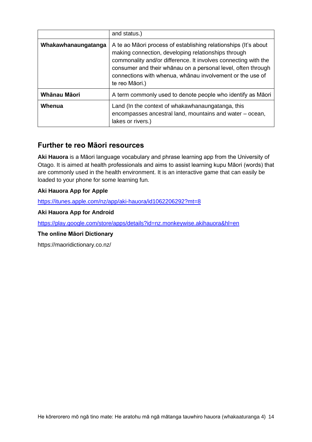|                     | and status.)                                                                                                                                                                                                                                                                                                                            |
|---------------------|-----------------------------------------------------------------------------------------------------------------------------------------------------------------------------------------------------------------------------------------------------------------------------------------------------------------------------------------|
| Whakawhanaungatanga | A te ao Māori process of establishing relationships (It's about<br>making connection, developing relationships through<br>commonality and/or difference. It involves connecting with the<br>consumer and their whānau on a personal level, often through<br>connections with whenua, whanau involvement or the use of<br>te reo Māori.) |
| Whānau Māori        | A term commonly used to denote people who identify as Maori                                                                                                                                                                                                                                                                             |
| Whenua              | Land (In the context of whakawhanaungatanga, this<br>encompasses ancestral land, mountains and water – ocean,<br>lakes or rivers.)                                                                                                                                                                                                      |

### <span id="page-13-0"></span>**Further te reo Māori resources**

**Aki Hauora** is a Māori language vocabulary and phrase learning app from the University of Otago. It is aimed at health professionals and aims to assist learning kupu Māori (words) that are commonly used in the health environment. It is an interactive game that can easily be loaded to your phone for some learning fun.

### **Aki Hauora App for Apple**

<https://itunes.apple.com/nz/app/aki-hauora/id1062206292?mt=8>

#### **Aki Hauora App for Android**

<https://play.google.com/store/apps/details?id=nz.monkeywise.akihauora&hl=en>

#### **The online Māori Dictionary**

https://maoridictionary.co.nz/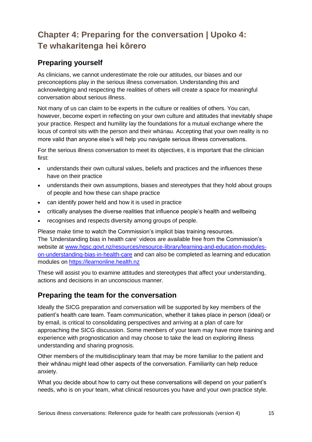# <span id="page-14-0"></span>**Chapter 4: Preparing for the conversation | Upoko 4: Te whakaritenga hei kōrero**

## <span id="page-14-1"></span>**Preparing yourself**

As clinicians, we cannot underestimate the role our attitudes, our biases and our preconceptions play in the serious illness conversation. Understanding this and acknowledging and respecting the realities of others will create a space for meaningful conversation about serious illness.

Not many of us can claim to be experts in the culture or realities of others. You can, however, become expert in reflecting on your own culture and attitudes that inevitably shape your practice. Respect and humility lay the foundations for a mutual exchange where the locus of control sits with the person and their whānau. Accepting that your own reality is no more valid than anyone else's will help you navigate serious illness conversations.

For the serious illness conversation to meet its objectives, it is important that the clinician first:

- understands their own cultural values, beliefs and practices and the influences these have on their practice
- understands their own assumptions, biases and stereotypes that they hold about groups of people and how these can shape practice
- can identify power held and how it is used in practice
- critically analyses the diverse realities that influence people's health and wellbeing
- recognises and respects diversity among groups of people.

Please make time to watch the Commission's implicit bias training resources. The *'*Understanding bias in health care' videos are available free from the Commission's website at [www.hqsc.govt.nz/resources/resource-library/learning-and-education-modules](http://www.hqsc.govt.nz/resources/resource-library/learning-and-education-modules-on-understanding-bias-in-health-care)[on-understanding-bias-in-health-care](http://www.hqsc.govt.nz/resources/resource-library/learning-and-education-modules-on-understanding-bias-in-health-care) and can also be completed as learning and education modules on [https://learnonline.health.nz](https://learnonline.health.nz/)

These will assist you to examine attitudes and stereotypes that affect your understanding, actions and decisions in an unconscious manner.

## <span id="page-14-2"></span>**Preparing the team for the conversation**

Ideally the SICG preparation and conversation will be supported by key members of the patient's health care team. Team communication, whether it takes place in person (ideal) or by email, is critical to consolidating perspectives and arriving at a plan of care for approaching the SICG discussion. Some members of your team may have more training and experience with prognostication and may choose to take the lead on exploring illness understanding and sharing prognosis.

Other members of the multidisciplinary team that may be more familiar to the patient and their whānau might lead other aspects of the conversation. Familiarity can help reduce anxiety.

What you decide about how to carry out these conversations will depend on your patient's needs, who is on your team, what clinical resources you have and your own practice style.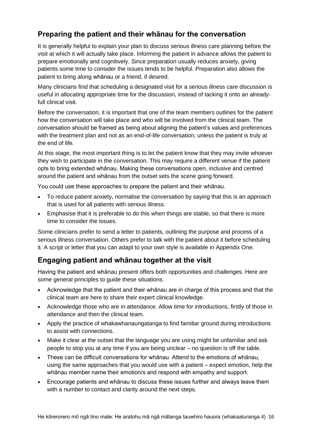# <span id="page-15-0"></span>**Preparing the patient and their whānau for the conversation**

It is generally helpful to explain your plan to discuss serious illness care planning before the visit at which it will actually take place. Informing the patient in advance allows the patient to prepare emotionally and cognitively. Since preparation usually reduces anxiety, giving patients some time to consider the issues tends to be helpful. Preparation also allows the patient to bring along whānau or a friend, if desired.

Many clinicians find that scheduling a designated visit for a serious illness care discussion is useful in allocating appropriate time for the discussion, instead of tacking it onto an alreadyfull clinical visit.

Before the conversation, it is important that one of the team members outlines for the patient how the conversation will take place and who will be involved from the clinical team. The conversation should be framed as being about aligning the patient's values and preferences with the treatment plan and not as an end-of-life conversation, unless the patient is truly at the end of life.

At this stage, the most important thing is to let the patient know that they may invite whoever they wish to participate in the conversation. This may require a different venue if the patient opts to bring extended whānau. Making these conversations open, inclusive and centred around the patient and whānau from the outset sets the scene going forward.

You could use these approaches to prepare the patient and their whānau.

- To reduce patient anxiety, normalise the conversation by saying that this is an approach that is used for all patients with serious illness.
- Emphasise that it is preferable to do this when things are stable, so that there is more time to consider the issues.

Some clinicians prefer to send a letter to patients, outlining the purpose and process of a serious illness conversation. Others prefer to talk with the patient about it before scheduling it. A script or letter that you can adapt to your own style is available in Appendix One.

## <span id="page-15-1"></span>**Engaging patient and whānau together at the visit**

Having the patient and whānau present offers both opportunities and challenges. Here are some general principles to guide these situations.

- Acknowledge that the patient and their whānau are in charge of this process and that the clinical team are here to share their expert clinical knowledge.
- Acknowledge those who are in attendance. Allow time for introductions, firstly of those in attendance and then the clinical team.
- Apply the practice of whakawhanaungatanga to find familiar ground during introductions to assist with connections.
- Make it clear at the outset that the language you are using might be unfamiliar and ask people to stop you at any time if you are being unclear – no question is off the table.
- These can be difficult conversations for whānau. Attend to the emotions of whānau, using the same approaches that you would use with a patient – expect emotion, help the whānau member name their emotion/s and respond with empathy and support.
- Encourage patients and whānau to discuss these issues further and always leave them with a number to contact and clarity around the next steps.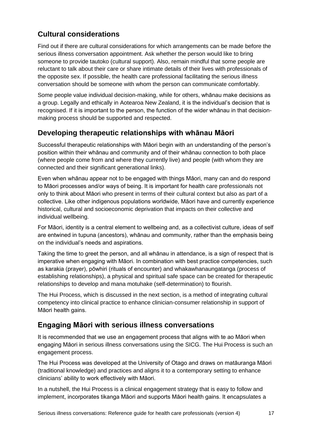# <span id="page-16-0"></span>**Cultural considerations**

Find out if there are cultural considerations for which arrangements can be made before the serious illness conversation appointment. Ask whether the person would like to bring someone to provide tautoko (cultural support). Also, remain mindful that some people are reluctant to talk about their care or share intimate details of their lives with professionals of the opposite sex. If possible, the health care professional facilitating the serious illness conversation should be someone with whom the person can communicate comfortably.

Some people value individual decision-making, while for others, whānau make decisions as a group. Legally and ethically in Aotearoa New Zealand, it is the individual's decision that is recognised. If it is important to the person, the function of the wider whānau in that decisionmaking process should be supported and respected.

# <span id="page-16-1"></span>**Developing therapeutic relationships with whānau Māori**

Successful therapeutic relationships with Māori begin with an understanding of the person's position within their whānau and community and of their whānau connection to both place (where people come from and where they currently live) and people (with whom they are connected and their significant generational links).

Even when whānau appear not to be engaged with things Māori, many can and do respond to Māori processes and/or ways of being. It is important for health care professionals not only to think about Māori who present in terms of their cultural context but also as part of a collective. Like other indigenous populations worldwide, Māori have and currently experience historical, cultural and socioeconomic deprivation that impacts on their collective and individual wellbeing.

For Māori, identity is a central element to wellbeing and, as a collectivist culture, ideas of self are entwined in tupuna (ancestors), whānau and community, rather than the emphasis being on the individual's needs and aspirations.

Taking the time to greet the person, and all whānau in attendance, is a sign of respect that is imperative when engaging with Māori. In combination with best practice competencies, such as karakia (prayer), pōwhiri (rituals of encounter) and whakawhanaungatanga (process of establishing relationships), a physical and spiritual safe space can be created for therapeutic relationships to develop and mana motuhake (self-determination) to flourish.

The Hui Process, which is discussed in the next section, is a method of integrating cultural competency into clinical practice to enhance clinician-consumer relationship in support of Māori health gains.

# <span id="page-16-2"></span>**Engaging Māori with serious illness conversations**

It is recommended that we use an engagement process that aligns with te ao Māori when engaging Māori in serious illness conversations using the SICG. The Hui Process is such an engagement process.

The Hui Process was developed at the University of Otago and draws on matāuranga Māori (traditional knowledge) and practices and aligns it to a contemporary setting to enhance clinicians' ability to work effectively with Māori.

In a nutshell, the Hui Process is a clinical engagement strategy that is easy to follow and implement, incorporates tikanga Māori and supports Māori health gains. It encapsulates a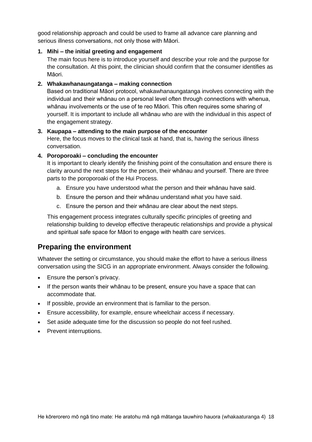good relationship approach and could be used to frame all advance care planning and serious illness conversations, not only those with Māori.

#### **1. Mihi – the initial greeting and engagement**

The main focus here is to introduce yourself and describe your role and the purpose for the consultation. At this point, the clinician should confirm that the consumer identifies as Māori.

#### **2. Whakawhanaungatanga – making connection**

Based on traditional Māori protocol, whakawhanaungatanga involves connecting with the individual and their whānau on a personal level often through connections with whenua, whānau involvements or the use of te reo Māori. This often requires some sharing of yourself. It is important to include all whānau who are with the individual in this aspect of the engagement strategy.

#### **3. Kaupapa – attending to the main purpose of the encounter**

Here, the focus moves to the clinical task at hand, that is, having the serious illness conversation.

#### **4. Poroporoaki – concluding the encounter**

It is important to clearly identify the finishing point of the consultation and ensure there is clarity around the next steps for the person, their whānau and yourself. There are three parts to the poroporoaki of the Hui Process.

- a. Ensure you have understood what the person and their whānau have said.
- b. Ensure the person and their whānau understand what you have said.
- c. Ensure the person and their whānau are clear about the next steps.

This engagement process integrates culturally specific principles of greeting and relationship building to develop effective therapeutic relationships and provide a physical and spiritual safe space for Māori to engage with health care services.

### <span id="page-17-0"></span>**Preparing the environment**

Whatever the setting or circumstance, you should make the effort to have a serious illness conversation using the SICG in an appropriate environment. Always consider the following.

- Ensure the person's privacy.
- If the person wants their whānau to be present, ensure you have a space that can accommodate that.
- If possible, provide an environment that is familiar to the person.
- Ensure accessibility, for example, ensure wheelchair access if necessary.
- Set aside adequate time for the discussion so people do not feel rushed.
- Prevent interruptions.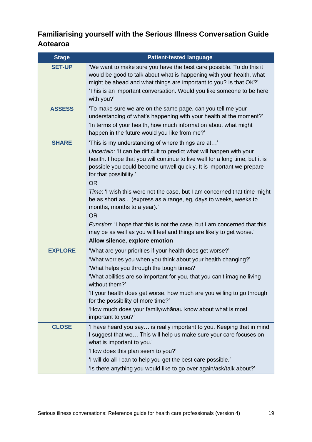# <span id="page-18-0"></span>**Familiarising yourself with the Serious Illness Conversation Guide Aotearoa**

| <b>Stage</b>   | <b>Patient-tested language</b>                                                                                                                                                                                                                                                                                                                                                                                                                                                                           |
|----------------|----------------------------------------------------------------------------------------------------------------------------------------------------------------------------------------------------------------------------------------------------------------------------------------------------------------------------------------------------------------------------------------------------------------------------------------------------------------------------------------------------------|
| <b>SET-UP</b>  | 'We want to make sure you have the best care possible. To do this it<br>would be good to talk about what is happening with your health, what<br>might be ahead and what things are important to you? Is that OK?'<br>'This is an important conversation. Would you like someone to be here<br>with you?'                                                                                                                                                                                                 |
| <b>ASSESS</b>  | 'To make sure we are on the same page, can you tell me your<br>understanding of what's happening with your health at the moment?'<br>'In terms of your health, how much information about what might<br>happen in the future would you like from me?'                                                                                                                                                                                                                                                    |
| <b>SHARE</b>   | 'This is my understanding of where things are at'<br>Uncertain: 'It can be difficult to predict what will happen with your<br>health. I hope that you will continue to live well for a long time, but it is<br>possible you could become unwell quickly. It is important we prepare<br>for that possibility.'<br><b>OR</b><br>Time: 'I wish this were not the case, but I am concerned that time might<br>be as short as (express as a range, eg, days to weeks, weeks to<br>months, months to a year).' |
|                | <b>OR</b><br>Function: 'I hope that this is not the case, but I am concerned that this<br>may be as well as you will feel and things are likely to get worse.'<br>Allow silence, explore emotion                                                                                                                                                                                                                                                                                                         |
| <b>EXPLORE</b> | 'What are your priorities if your health does get worse?'<br>'What worries you when you think about your health changing?'<br>'What helps you through the tough times?'<br>'What abilities are so important for you, that you can't imagine living<br>without them?'<br>'If your health does get worse, how much are you willing to go through<br>for the possibility of more time?'<br>'How much does your family/whanau know about what is most<br>important to you?'                                  |
| <b>CLOSE</b>   | 'I have heard you say is really important to you. Keeping that in mind,<br>I suggest that we This will help us make sure your care focuses on<br>what is important to you.'<br>'How does this plan seem to you?'<br>'I will do all I can to help you get the best care possible.'<br>'Is there anything you would like to go over again/ask/talk about?'                                                                                                                                                 |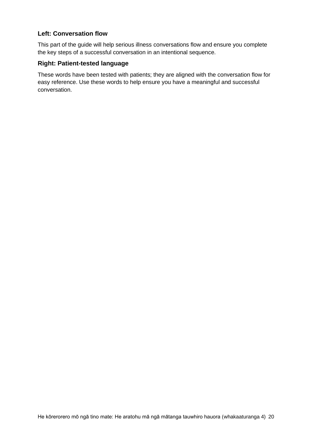### **Left: Conversation flow**

This part of the guide will help serious illness conversations flow and ensure you complete the key steps of a successful conversation in an intentional sequence.

#### **Right: Patient-tested language**

These words have been tested with patients; they are aligned with the conversation flow for easy reference. Use these words to help ensure you have a meaningful and successful conversation.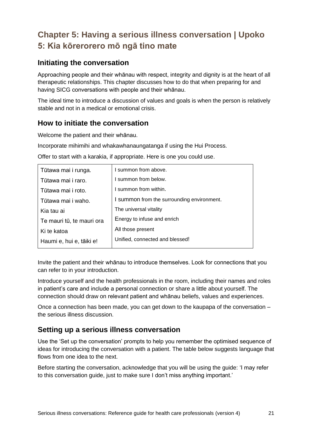# <span id="page-20-0"></span>**Chapter 5: Having a serious illness conversation | Upoko 5: Kia kōrerorero mō ngā tino mate**

## <span id="page-20-1"></span>**Initiating the conversation**

Approaching people and their whānau with respect, integrity and dignity is at the heart of all therapeutic relationships. This chapter discusses how to do that when preparing for and having SICG conversations with people and their whānau.

The ideal time to introduce a discussion of values and goals is when the person is relatively stable and not in a medical or emotional crisis.

## <span id="page-20-2"></span>**How to initiate the conversation**

Welcome the patient and their whānau.

Incorporate mihimihi and whakawhanaungatanga if using the Hui Process.

| Tūtawa mai i runga.       | I summon from above.                       |
|---------------------------|--------------------------------------------|
| Tūtawa mai i raro.        | I summon from below.                       |
| Tūtawa mai i roto.        | I summon from within.                      |
| Tūtawa mai i waho.        | I summon from the surrounding environment. |
| Kia tau ai                | The universal vitality                     |
| Te mauri tū, te mauri ora | Energy to infuse and enrich                |
| Ki te katoa               | All those present                          |
| Haumi e, hui e, tāiki e!  | Unified, connected and blessed!            |
|                           |                                            |

Offer to start with a karakia, if appropriate. Here is one you could use.

Invite the patient and their whānau to introduce themselves. Look for connections that you can refer to in your introduction.

Introduce yourself and the health professionals in the room, including their names and roles in patient's care and include a personal connection or share a little about yourself. The connection should draw on relevant patient and whānau beliefs, values and experiences.

Once a connection has been made, you can get down to the kaupapa of the conversation – the serious illness discussion.

## <span id="page-20-3"></span>**Setting up a serious illness conversation**

Use the 'Set up the conversation' prompts to help you remember the optimised sequence of ideas for introducing the conversation with a patient. The table below suggests language that flows from one idea to the next.

Before starting the conversation, acknowledge that you will be using the guide: 'I may refer to this conversation guide, just to make sure I don't miss anything important.'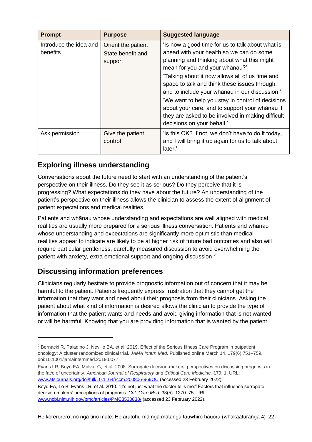| <b>Prompt</b>                      | <b>Purpose</b>                                     | <b>Suggested language</b>                                                                                                                                                                                                                                                                                                                                                                                                                                                                                                     |
|------------------------------------|----------------------------------------------------|-------------------------------------------------------------------------------------------------------------------------------------------------------------------------------------------------------------------------------------------------------------------------------------------------------------------------------------------------------------------------------------------------------------------------------------------------------------------------------------------------------------------------------|
| Introduce the idea and<br>benefits | Orient the patient<br>State benefit and<br>support | 'Is now a good time for us to talk about what is<br>ahead with your health so we can do some<br>planning and thinking about what this might<br>mean for you and your whanau?'<br>'Talking about it now allows all of us time and<br>space to talk and think these issues through,<br>and to include your whanau in our discussion.'<br>'We want to help you stay in control of decisions<br>about your care, and to support your whanau if<br>they are asked to be involved in making difficult<br>decisions on your behalf.' |
| Ask permission                     | Give the patient<br>control                        | 'Is this OK? If not, we don't have to do it today,<br>and I will bring it up again for us to talk about<br>later.'                                                                                                                                                                                                                                                                                                                                                                                                            |

# <span id="page-21-0"></span>**Exploring illness understanding**

Conversations about the future need to start with an understanding of the patient's perspective on their illness. Do they see it as serious? Do they perceive that it is progressing? What expectations do they have about the future? An understanding of the patient's perspective on their illness allows the clinician to assess the extent of alignment of patient expectations and medical realities.

Patients and whānau whose understanding and expectations are well aligned with medical realities are usually more prepared for a serious illness conversation. Patients and whānau whose understanding and expectations are significantly more optimistic than medical realities appear to indicate are likely to be at higher risk of future bad outcomes and also will require particular gentleness, carefully measured discussion to avoid overwhelming the patient with anxiety, extra emotional support and ongoing discussion.<sup>2</sup>

# <span id="page-21-1"></span>**Discussing information preferences**

Clinicians regularly hesitate to provide prognostic information out of concern that it may be harmful to the patient. Patients frequently express frustration that they cannot get the information that they want and need about their prognosis from their clinicians. Asking the patient about what kind of information is desired allows the clinician to provide the type of information that the patient wants and needs and avoid giving information that is not wanted or will be harmful. Knowing that you are providing information that is wanted by the patient

<sup>2</sup> Bernacki R, Paladino J, Neville BA, et al. 2019. Effect of the Serious Illness Care Program in outpatient oncology: A cluster randomized clinical trial. *JAMA Intern Med.* Published online March 14, 179(6):751–759. doi:10.1001/jamainternmed.2019.0077

Evans LR, Boyd EA, Malvar G, et al. 2008. Surrogate decision-makers' perspectives on discussing prognosis in the face of uncertainty. *American Journal of Respiratory and Critical Care Medicine*, 179: 1. URL: [www.atsjournals.org/doi/full/10.1164/rccm.200806-969OC](http://www.atsjournals.org/doi/full/10.1164/rccm.200806-969OC) (accessed 23 February 2022).

Boyd EA, Lo B, Evans LR, et al. 2010. "It's not just what the doctor tells me:" Factors that influence surrogate decision-makers' perceptions of prognosis. *Crit. Care Med.* 38(5): 1270–75. URL: [www.ncbi.nlm.nih.gov/pmc/articles/PMC3530838/](http://www.ncbi.nlm.nih.gov/pmc/articles/PMC3530838/) (accessed 23 February 2022).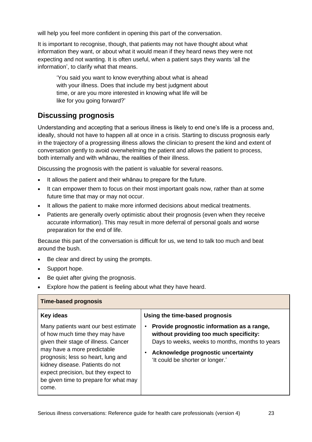will help you feel more confident in opening this part of the conversation.

It is important to recognise, though, that patients may not have thought about what information they want, or about what it would mean if they heard news they were not expecting and not wanting. It is often useful, when a patient says they wants 'all the information', to clarify what that means.

'You said you want to know everything about what is ahead with your illness. Does that include my best judgment about time, or are you more interested in knowing what life will be like for you going forward?'

# <span id="page-22-0"></span>**Discussing prognosis**

Understanding and accepting that a serious illness is likely to end one's life is a process and, ideally, should not have to happen all at once in a crisis. Starting to discuss prognosis early in the trajectory of a progressing illness allows the clinician to present the kind and extent of conversation gently to avoid overwhelming the patient and allows the patient to process, both internally and with whānau, the realities of their illness.

Discussing the prognosis with the patient is valuable for several reasons.

- It allows the patient and their whanau to prepare for the future.
- It can empower them to focus on their most important goals now, rather than at some future time that may or may not occur.
- It allows the patient to make more informed decisions about medical treatments.
- Patients are generally overly optimistic about their prognosis (even when they receive accurate information). This may result in more deferral of personal goals and worse preparation for the end of life.

Because this part of the conversation is difficult for us, we tend to talk too much and beat around the bush.

- Be clear and direct by using the prompts.
- Support hope.
- Be quiet after giving the prognosis.
- Explore how the patient is feeling about what they have heard.

| <b>Time-based prognosis</b>                                                                                                                                                                                                                                                                                                          |                                                                                                                                                                                                                                                      |
|--------------------------------------------------------------------------------------------------------------------------------------------------------------------------------------------------------------------------------------------------------------------------------------------------------------------------------------|------------------------------------------------------------------------------------------------------------------------------------------------------------------------------------------------------------------------------------------------------|
| <b>Key ideas</b><br>Many patients want our best estimate<br>of how much time they may have<br>given their stage of illness. Cancer<br>may have a more predictable<br>prognosis; less so heart, lung and<br>kidney disease. Patients do not<br>expect precision, but they expect to<br>be given time to prepare for what may<br>come. | Using the time-based prognosis<br>Provide prognostic information as a range,<br>without providing too much specificity:<br>Days to weeks, weeks to months, months to years<br>Acknowledge prognostic uncertainty<br>'It could be shorter or longer.' |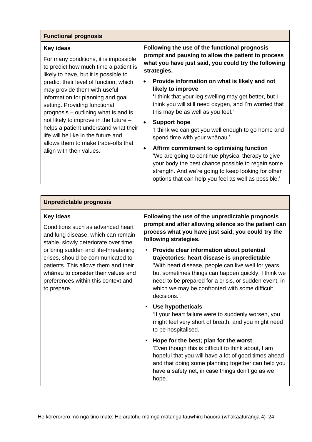| <b>Functional prognosis</b>                                                                                                                                                                                                                                                                                                                                                                                                                                                                                              |                                                                                                                                                                                                                                                                                 |
|--------------------------------------------------------------------------------------------------------------------------------------------------------------------------------------------------------------------------------------------------------------------------------------------------------------------------------------------------------------------------------------------------------------------------------------------------------------------------------------------------------------------------|---------------------------------------------------------------------------------------------------------------------------------------------------------------------------------------------------------------------------------------------------------------------------------|
| Key ideas<br>For many conditions, it is impossible<br>to predict how much time a patient is<br>likely to have, but it is possible to<br>predict their level of function, which<br>may provide them with useful<br>information for planning and goal<br>setting. Providing functional<br>prognosis – outlining what is and is<br>not likely to improve in the future -<br>helps a patient understand what their<br>life will be like in the future and<br>allows them to make trade-offs that<br>align with their values. | Following the use of the functional prognosis<br>prompt and pausing to allow the patient to process<br>what you have just said, you could try the following<br>strategies.                                                                                                      |
|                                                                                                                                                                                                                                                                                                                                                                                                                                                                                                                          | Provide information on what is likely and not<br>$\bullet$<br>likely to improve<br>I think that your leg swelling may get better, but I<br>think you will still need oxygen, and I'm worried that<br>this may be as well as you feel.'                                          |
|                                                                                                                                                                                                                                                                                                                                                                                                                                                                                                                          | <b>Support hope</b><br>1 think we can get you well enough to go home and<br>spend time with your whanau.'                                                                                                                                                                       |
|                                                                                                                                                                                                                                                                                                                                                                                                                                                                                                                          | Affirm commitment to optimising function<br>$\bullet$<br>'We are going to continue physical therapy to give<br>your body the best chance possible to regain some<br>strength. And we're going to keep looking for other<br>options that can help you feel as well as possible.' |

### **Unpredictable prognosis**

#### **Key ideas**

Conditions such as advanced heart and lung disease, which can remain stable, slowly deteriorate over time or bring sudden and life-threatening crises, should be communicated to patients. This allows them and their whānau to consider their values and preferences within this context and to prepare.

**Following the use of the unpredictable prognosis prompt and after allowing silence so the patient can process what you have just said, you could try the following strategies.**

- **Provide clear information about potential trajectories: heart disease is unpredictable** 'With heart disease, people can live well for years, but sometimes things can happen quickly. I think we need to be prepared for a crisis, or sudden event, in which we may be confronted with some difficult decisions.'
- **Use hypotheticals**

'If your heart failure were to suddenly worsen, you might feel very short of breath, and you might need to be hospitalised.'

• **Hope for the best; plan for the worst** 'Even though this is difficult to think about, I am hopeful that you will have a lot of good times ahead and that doing some planning together can help you have a safety net, in case things don't go as we hope.'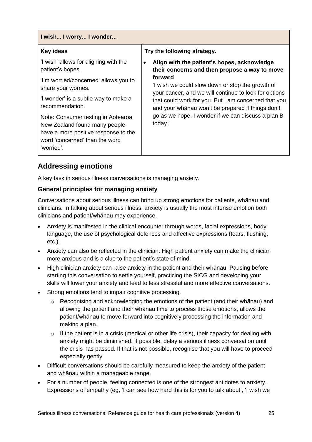| I wish I worry I wonder                                                                                                                                     |                                                                                                                      |
|-------------------------------------------------------------------------------------------------------------------------------------------------------------|----------------------------------------------------------------------------------------------------------------------|
| <b>Key ideas</b>                                                                                                                                            | Try the following strategy.                                                                                          |
| 'I wish' allows for aligning with the<br>patient's hopes.                                                                                                   | Align with the patient's hopes, acknowledge<br>$\bullet$<br>their concerns and then propose a way to move            |
| 'I'm worried/concerned' allows you to<br>share your worries.                                                                                                | forward<br>'I wish we could slow down or stop the growth of<br>your cancer, and we will continue to look for options |
| 'I wonder' is a subtle way to make a<br>recommendation.                                                                                                     | that could work for you. But I am concerned that you<br>and your whanau won't be prepared if things don't            |
| Note: Consumer testing in Aotearoa<br>New Zealand found many people<br>have a more positive response to the<br>word 'concerned' than the word<br>'worried'. | go as we hope. I wonder if we can discuss a plan B<br>today.'                                                        |

## <span id="page-24-0"></span>**Addressing emotions**

A key task in serious illness conversations is managing anxiety.

### **General principles for managing anxiety**

Conversations about serious illness can bring up strong emotions for patients, whānau and clinicians. In talking about serious illness, anxiety is usually the most intense emotion both clinicians and patient/whānau may experience.

- Anxiety is manifested in the clinical encounter through words, facial expressions, body language, the use of psychological defences and affective expressions (tears, flushing, etc.).
- Anxiety can also be reflected in the clinician. High patient anxiety can make the clinician more anxious and is a clue to the patient's state of mind.
- High clinician anxiety can raise anxiety in the patient and their whānau. Pausing before starting this conversation to settle yourself, practicing the SICG and developing your skills will lower your anxiety and lead to less stressful and more effective conversations.
- Strong emotions tend to impair cognitive processing.
	- o Recognising and acknowledging the emotions of the patient (and their whānau) and allowing the patient and their whānau time to process those emotions, allows the patient/whānau to move forward into cognitively processing the information and making a plan.
	- $\circ$  If the patient is in a crisis (medical or other life crisis), their capacity for dealing with anxiety might be diminished. If possible, delay a serious illness conversation until the crisis has passed. If that is not possible, recognise that you will have to proceed especially gently.
- Difficult conversations should be carefully measured to keep the anxiety of the patient and whānau within a manageable range.
- For a number of people, feeling connected is one of the strongest antidotes to anxiety. Expressions of empathy (eg, 'I can see how hard this is for you to talk about', 'I wish we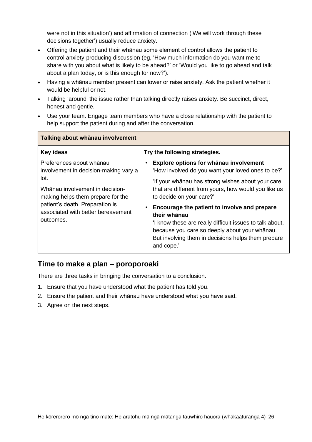were not in this situation') and affirmation of connection ('We will work through these decisions together') usually reduce anxiety.

- Offering the patient and their whānau some element of control allows the patient to control anxiety-producing discussion (eg, 'How much information do you want me to share with you about what is likely to be ahead?' or 'Would you like to go ahead and talk about a plan today, or is this enough for now?').
- Having a whānau member present can lower or raise anxiety. Ask the patient whether it would be helpful or not.
- Talking 'around' the issue rather than talking directly raises anxiety. Be succinct, direct, honest and gentle.
- Use your team. Engage team members who have a close relationship with the patient to help support the patient during and after the conversation.

| Talking about whānau involvement                                                                                                                           |                                                                                                                                                                                                                                              |  |
|------------------------------------------------------------------------------------------------------------------------------------------------------------|----------------------------------------------------------------------------------------------------------------------------------------------------------------------------------------------------------------------------------------------|--|
| Key ideas                                                                                                                                                  | Try the following strategies.                                                                                                                                                                                                                |  |
| Preferences about whanau<br>involvement in decision-making vary a<br>lot.                                                                                  | Explore options for whanau involvement<br>'How involved do you want your loved ones to be?'                                                                                                                                                  |  |
| Whānau involvement in decision-<br>making helps them prepare for the<br>patient's death. Preparation is<br>associated with better bereavement<br>outcomes. | 'If your whanau has strong wishes about your care<br>that are different from yours, how would you like us<br>to decide on your care?'                                                                                                        |  |
|                                                                                                                                                            | Encourage the patient to involve and prepare<br>their whānau<br>I know these are really difficult issues to talk about,<br>because you care so deeply about your whanau.<br>But involving them in decisions helps them prepare<br>and cope.' |  |
|                                                                                                                                                            |                                                                                                                                                                                                                                              |  |

## <span id="page-25-0"></span>**Time to make a plan – poroporoaki**

There are three tasks in bringing the conversation to a conclusion.

- 1. Ensure that you have understood what the patient has told you.
- 2. Ensure the patient and their whānau have understood what you have said.
- 3. Agree on the next steps.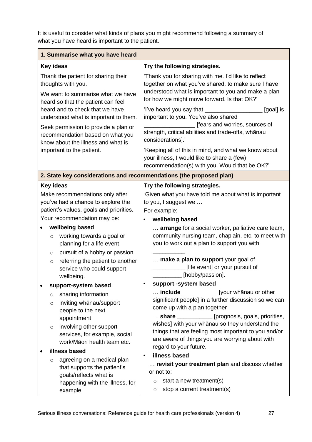It is useful to consider what kinds of plans you might recommend following a summary of what you have heard is important to the patient.

| 1. Summarise what you have heard                                                                                                                                                                                |                                                                                                                                                                                                                                                                                                                                                                              |
|-----------------------------------------------------------------------------------------------------------------------------------------------------------------------------------------------------------------|------------------------------------------------------------------------------------------------------------------------------------------------------------------------------------------------------------------------------------------------------------------------------------------------------------------------------------------------------------------------------|
| Key ideas                                                                                                                                                                                                       | Try the following strategies.                                                                                                                                                                                                                                                                                                                                                |
| Thank the patient for sharing their<br>thoughts with you.<br>We want to summarise what we have<br>heard so that the patient can feel<br>heard and to check that we have                                         | 'Thank you for sharing with me. I'd like to reflect<br>together on what you've shared, to make sure I have<br>understood what is important to you and make a plan<br>for how we might move forward. Is that OK?'<br>'I've heard you say that __________<br>[goal] is                                                                                                         |
| understood what is important to them.<br>Seek permission to provide a plan or                                                                                                                                   | important to you. You've also shared<br>[fears and worries, sources of                                                                                                                                                                                                                                                                                                       |
| recommendation based on what you<br>know about the illness and what is                                                                                                                                          | strength, critical abilities and trade-offs, whānau<br>considerations].'                                                                                                                                                                                                                                                                                                     |
| important to the patient.                                                                                                                                                                                       | 'Keeping all of this in mind, and what we know about<br>your illness, I would like to share a (few)<br>recommendation(s) with you. Would that be OK?'                                                                                                                                                                                                                        |
| 2. State key considerations and recommendations (the proposed plan)                                                                                                                                             |                                                                                                                                                                                                                                                                                                                                                                              |
| Key ideas                                                                                                                                                                                                       | Try the following strategies.                                                                                                                                                                                                                                                                                                                                                |
| Make recommendations only after<br>you've had a chance to explore the<br>patient's values, goals and priorities.                                                                                                | Given what you have told me about what is important<br>to you, I suggest we<br>For example:                                                                                                                                                                                                                                                                                  |
| Your recommendation may be:                                                                                                                                                                                     | wellbeing based<br>$\bullet$                                                                                                                                                                                                                                                                                                                                                 |
| wellbeing based<br>working towards a goal or<br>$\circ$<br>planning for a life event<br>pursuit of a hobby or passion<br>$\circ$                                                                                | arrange for a social worker, palliative care team,<br>community nursing team, chaplain, etc. to meet with<br>you to work out a plan to support you with<br>make a plan to support your goal of                                                                                                                                                                               |
| referring the patient to another<br>$\circ$<br>service who could support<br>wellbeing.                                                                                                                          | [life event] or your pursuit of<br>[hobby/passion].                                                                                                                                                                                                                                                                                                                          |
| support-system based                                                                                                                                                                                            | support -system based                                                                                                                                                                                                                                                                                                                                                        |
| sharing information<br>$\circ$<br>inviting whānau/support<br>$\circ$<br>people to the next<br>appointment<br>involving other support<br>$\circ$<br>services, for example, social<br>work/Māori health team etc. | <b>include</b> ________________ [your whanau or other<br>significant people] in a further discussion so we can<br>come up with a plan together<br>$\ldots$ share ___________<br>[prognosis, goals, priorities,<br>wishes] with your whanau so they understand the<br>things that are feeling most important to you and/or<br>are aware of things you are worrying about with |
| illness based                                                                                                                                                                                                   | regard to your future.                                                                                                                                                                                                                                                                                                                                                       |
| agreeing on a medical plan<br>$\circ$<br>that supports the patient's<br>goals/reflects what is<br>happening with the illness, for<br>example:                                                                   | illness based<br>$\bullet$<br>revisit your treatment plan and discuss whether<br>or not to:<br>start a new treatment(s)<br>$\circ$<br>stop a current treatment(s)<br>$\circ$                                                                                                                                                                                                 |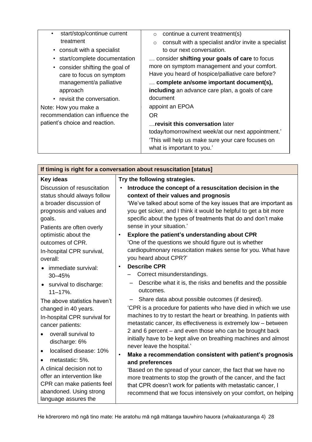| start/stop/continue current<br>treatment                    | continue a current treatment(s)<br>$\circ$<br>consult with a specialist and/or invite a specialist<br>$\circ$ |
|-------------------------------------------------------------|---------------------------------------------------------------------------------------------------------------|
| • consult with a specialist                                 | to our next conversation.                                                                                     |
| • start/complete documentation                              | consider shifting your goals of care to focus                                                                 |
| • consider shifting the goal of<br>care to focus on symptom | more on symptom management and your comfort.<br>Have you heard of hospice/palliative care before?             |
| management/a palliative<br>approach                         | complete an/some important document(s),<br>including an advance care plan, a goals of care                    |
| • revisit the conversation.                                 | document                                                                                                      |
| Note: How you make a                                        | appoint an EPOA                                                                                               |
| recommendation can influence the                            | OR.                                                                                                           |
| patient's choice and reaction.                              | revisit this conversation later<br>today/tomorrow/next week/at our next appointment.'                         |
|                                                             | 'This will help us make sure your care focuses on<br>what is important to you.'                               |

| If timing is right for a conversation about resuscitation [status]                                                                                                                                                   |                                                                                                                                                                                                                                                                                                                                                                                                                                                                              |  |
|----------------------------------------------------------------------------------------------------------------------------------------------------------------------------------------------------------------------|------------------------------------------------------------------------------------------------------------------------------------------------------------------------------------------------------------------------------------------------------------------------------------------------------------------------------------------------------------------------------------------------------------------------------------------------------------------------------|--|
| Key ideas                                                                                                                                                                                                            | Try the following strategies.                                                                                                                                                                                                                                                                                                                                                                                                                                                |  |
| Discussion of resuscitation<br>status should always follow<br>a broader discussion of<br>prognosis and values and<br>goals.<br>Patients are often overly<br>optimistic about the<br>outcomes of CPR.                 | Introduce the concept of a resuscitation decision in the<br>$\bullet$<br>context of their values and prognosis<br>'We've talked about some of the key issues that are important as<br>you get sicker, and I think it would be helpful to get a bit more<br>specific about the types of treatments that do and don't make<br>sense in your situation.'<br>Explore the patient's understanding about CPR<br>$\bullet$<br>'One of the questions we should figure out is whether |  |
| In-hospital CPR survival,<br>overall:<br>immediate survival:<br>30-45%                                                                                                                                               | cardiopulmonary resuscitation makes sense for you. What have<br>you heard about CPR?'<br><b>Describe CPR</b><br>$\bullet$<br>Correct misunderstandings.<br>$\qquad \qquad -$<br>Describe what it is, the risks and benefits and the possible                                                                                                                                                                                                                                 |  |
| survival to discharge:<br>$\bullet$<br>$11 - 17%$ .<br>The above statistics haven't<br>changed in 40 years.<br>In-hospital CPR survival for<br>cancer patients:<br>overall survival to<br>$\bullet$<br>discharge: 6% | outcomes.<br>Share data about possible outcomes (if desired).<br>'CPR is a procedure for patients who have died in which we use<br>machines to try to restart the heart or breathing. In patients with<br>metastatic cancer, its effectiveness is extremely low - between<br>2 and 6 percent – and even those who can be brought back<br>initially have to be kept alive on breathing machines and almost<br>never leave the hospital.'                                      |  |
| localised disease: 10%<br>$\bullet$<br>metastatic: 5%.<br>A clinical decision not to<br>offer an intervention like<br>CPR can make patients feel<br>abandoned. Using strong<br>language assures the                  | $\bullet$<br>Make a recommendation consistent with patient's prognosis<br>and preferences<br>'Based on the spread of your cancer, the fact that we have no<br>more treatments to stop the growth of the cancer, and the fact<br>that CPR doesn't work for patients with metastatic cancer, I<br>recommend that we focus intensively on your comfort, on helping                                                                                                              |  |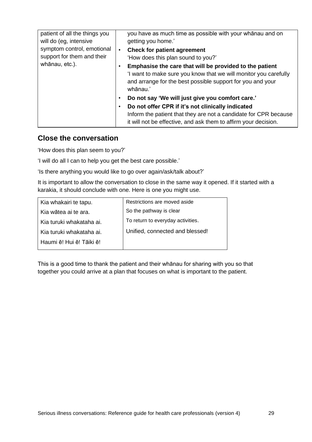| patient of all the things you<br>will do (eg, intensive  | you have as much time as possible with your whanau and on<br>getting you home.'                                                                                                                       |
|----------------------------------------------------------|-------------------------------------------------------------------------------------------------------------------------------------------------------------------------------------------------------|
| symptom control, emotional<br>support for them and their | <b>Check for patient agreement</b><br>'How does this plan sound to you?'                                                                                                                              |
| whānau, etc.).                                           | Emphasise the care that will be provided to the patient<br>'I want to make sure you know that we will monitor you carefully<br>and arrange for the best possible support for you and your<br>whānau.' |
|                                                          | Do not say 'We will just give you comfort care.'<br>Do not offer CPR if it's not clinically indicated                                                                                                 |
|                                                          | Inform the patient that they are not a candidate for CPR because<br>it will not be effective, and ask them to affirm your decision.                                                                   |

### <span id="page-28-0"></span>**Close the conversation**

'How does this plan seem to you?'

'I will do all I can to help you get the best care possible.'

'Is there anything you would like to go over again/ask/talk about?'

It is important to allow the conversation to close in the same way it opened. If it started with a karakia, it should conclude with one. Here is one you might use.

| Kia whakairi te tapu.    | Restrictions are moved aside      |
|--------------------------|-----------------------------------|
| Kia wātea ai te ara.     | So the pathway is clear           |
| Kia turuki whakataha ai. | To return to everyday activities. |
| Kia turuki whakataha ai. | Unified, connected and blessed!   |
| Haumi ē! Hui ē! Tāiki ē! |                                   |
|                          |                                   |

This is a good time to thank the patient and their whānau for sharing with you so that together you could arrive at a plan that focuses on what is important to the patient.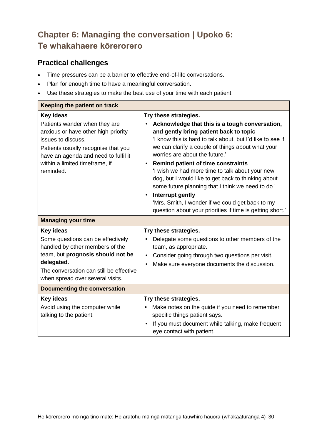# <span id="page-29-0"></span>**Chapter 6: Managing the conversation | Upoko 6: Te whakahaere kōrerorero**

# <span id="page-29-1"></span>**Practical challenges**

- Time pressures can be a barrier to effective end-of-life conversations.
- Plan for enough time to have a meaningful conversation.
- Use these strategies to make the best use of your time with each patient.

| Keeping the patient on track                                                                                                                                                                                                                 |                                                                                                                                                                                                                                                                                                                                                                                                                                                                                                                                                                                                                                                   |  |
|----------------------------------------------------------------------------------------------------------------------------------------------------------------------------------------------------------------------------------------------|---------------------------------------------------------------------------------------------------------------------------------------------------------------------------------------------------------------------------------------------------------------------------------------------------------------------------------------------------------------------------------------------------------------------------------------------------------------------------------------------------------------------------------------------------------------------------------------------------------------------------------------------------|--|
| <b>Key ideas</b><br>Patients wander when they are<br>anxious or have other high-priority<br>issues to discuss.<br>Patients usually recognise that you<br>have an agenda and need to fulfil it<br>within a limited timeframe, if<br>reminded. | Try these strategies.<br>Acknowledge that this is a tough conversation,<br>and gently bring patient back to topic<br>'I know this is hard to talk about, but I'd like to see if<br>we can clarify a couple of things about what your<br>worries are about the future.'<br><b>Remind patient of time constraints</b><br>$\bullet$<br>'I wish we had more time to talk about your new<br>dog, but I would like to get back to thinking about<br>some future planning that I think we need to do.'<br>Interrupt gently<br>$\bullet$<br>'Mrs. Smith, I wonder if we could get back to my<br>question about your priorities if time is getting short.' |  |
| <b>Managing your time</b>                                                                                                                                                                                                                    |                                                                                                                                                                                                                                                                                                                                                                                                                                                                                                                                                                                                                                                   |  |
| Key ideas<br>Some questions can be effectively<br>handled by other members of the<br>team, but prognosis should not be<br>delegated.<br>The conversation can still be effective<br>when spread over several visits.                          | Try these strategies.<br>Delegate some questions to other members of the<br>team, as appropriate.<br>Consider going through two questions per visit.<br>$\bullet$<br>Make sure everyone documents the discussion.                                                                                                                                                                                                                                                                                                                                                                                                                                 |  |
| <b>Documenting the conversation</b>                                                                                                                                                                                                          |                                                                                                                                                                                                                                                                                                                                                                                                                                                                                                                                                                                                                                                   |  |
| <b>Key ideas</b><br>Avoid using the computer while<br>talking to the patient.                                                                                                                                                                | Try these strategies.<br>Make notes on the guide if you need to remember<br>specific things patient says.<br>If you must document while talking, make frequent<br>eye contact with patient.                                                                                                                                                                                                                                                                                                                                                                                                                                                       |  |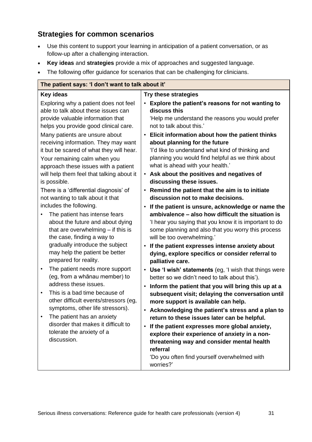# <span id="page-30-0"></span>**Strategies for common scenarios**

- Use this content to support your learning in anticipation of a patient conversation, or as follow-up after a challenging interaction.
- **Key ideas** and **strategies** provide a mix of approaches and suggested language.
- The following offer guidance for scenarios that can be challenging for clinicians.

| The patient says: 'I don't want to talk about it'                                                                                                           |                                                                                                                                                                                                                                                                                    |  |
|-------------------------------------------------------------------------------------------------------------------------------------------------------------|------------------------------------------------------------------------------------------------------------------------------------------------------------------------------------------------------------------------------------------------------------------------------------|--|
| Key ideas<br>Exploring why a patient does not feel<br>able to talk about these issues can<br>provide valuable information that                              | <b>Try these strategies</b><br>Explore the patient's reasons for not wanting to<br>$\bullet$<br>discuss this<br>'Help me understand the reasons you would prefer                                                                                                                   |  |
| helps you provide good clinical care.<br>Many patients are unsure about<br>receiving information. They may want<br>it but be scared of what they will hear. | not to talk about this.'<br>Elicit information about how the patient thinks<br>$\bullet$<br>about planning for the future<br>'I'd like to understand what kind of thinking and                                                                                                     |  |
| Your remaining calm when you<br>approach these issues with a patient<br>will help them feel that talking about it                                           | planning you would find helpful as we think about<br>what is ahead with your health.'<br>• Ask about the positives and negatives of                                                                                                                                                |  |
| is possible.                                                                                                                                                | discussing these issues.                                                                                                                                                                                                                                                           |  |
| There is a 'differential diagnosis' of<br>not wanting to talk about it that<br>includes the following.                                                      | Remind the patient that the aim is to initiate<br>discussion not to make decisions.<br>If the patient is unsure, acknowledge or name the<br>$\bullet$                                                                                                                              |  |
| The patient has intense fears<br>$\bullet$<br>about the future and about dying<br>that are overwhelming $-$ if this is<br>the case, finding a way to        | ambivalence - also how difficult the situation is<br>'I hear you saying that you know it is important to do<br>some planning and also that you worry this process<br>will be too overwhelming.'                                                                                    |  |
| gradually introduce the subject<br>may help the patient be better<br>prepared for reality.                                                                  | If the patient expresses intense anxiety about<br>$\bullet$<br>dying, explore specifics or consider referral to<br>palliative care.                                                                                                                                                |  |
| The patient needs more support<br>$\bullet$<br>(eg, from a whānau member) to<br>address these issues.                                                       | • Use 'I wish' statements (eg, 'I wish that things were<br>better so we didn't need to talk about this').<br>Inform the patient that you will bring this up at a<br>$\bullet$                                                                                                      |  |
| This is a bad time because of<br>$\bullet$<br>other difficult events/stressors (eg,<br>symptoms, other life stressors).                                     | subsequent visit; delaying the conversation until<br>more support is available can help.<br>• Acknowledging the patient's stress and a plan to                                                                                                                                     |  |
| The patient has an anxiety<br>disorder that makes it difficult to<br>tolerate the anxiety of a<br>discussion.                                               | return to these issues later can be helpful.<br>If the patient expresses more global anxiety,<br>$\bullet$<br>explore their experience of anxiety in a non-<br>threatening way and consider mental health<br>referral<br>'Do you often find yourself overwhelmed with<br>worries?' |  |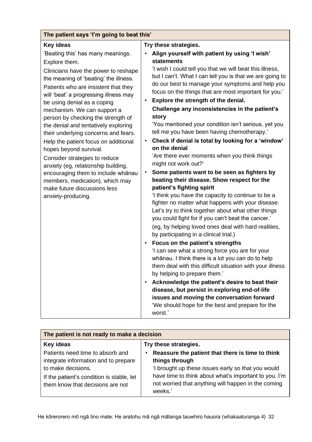| The patient says 'I'm going to beat this'                                                                                                                                                                                                                                                                                                                                                                                                                                                                                                                                                                                                                                                                                                                       |                                                                                                                                                                                                                                                                                                                                                                                                                                                                                                                                                                                                                                                                                                                                                                                                                                                                                                                                                                                         |  |
|-----------------------------------------------------------------------------------------------------------------------------------------------------------------------------------------------------------------------------------------------------------------------------------------------------------------------------------------------------------------------------------------------------------------------------------------------------------------------------------------------------------------------------------------------------------------------------------------------------------------------------------------------------------------------------------------------------------------------------------------------------------------|-----------------------------------------------------------------------------------------------------------------------------------------------------------------------------------------------------------------------------------------------------------------------------------------------------------------------------------------------------------------------------------------------------------------------------------------------------------------------------------------------------------------------------------------------------------------------------------------------------------------------------------------------------------------------------------------------------------------------------------------------------------------------------------------------------------------------------------------------------------------------------------------------------------------------------------------------------------------------------------------|--|
| Key ideas<br>'Beating this' has many meanings.<br>$\bullet$<br>Explore them.<br>Clinicians have the power to reshape<br>the meaning of 'beating' the illness.<br>Patients who are insistent that they<br>will 'beat' a progressing illness may<br>$\bullet$<br>be using denial as a coping<br>mechanism. We can support a<br>person by checking the strength of<br>the denial and tentatively exploring<br>their underlying concerns and fears.<br>$\bullet$<br>Help the patient focus on additional<br>hopes beyond survival.<br>Consider strategies to reduce<br>anxiety (eg, relationship building,<br>$\bullet$<br>encouraging them to include whānau<br>members, medication), which may<br>make future discussions less<br>anxiety-producing.<br>$\bullet$ | Try these strategies.<br>Align yourself with patient by using 'I wish'<br><b>statements</b><br>'I wish I could tell you that we will beat this illness,<br>but I can't. What I can tell you is that we are going to<br>do our best to manage your symptoms and help you<br>focus on the things that are most important for you.'<br>Explore the strength of the denial.<br>Challenge any inconsistencies in the patient's<br>story<br>'You mentioned your condition isn't serious, yet you<br>tell me you have been having chemotherapy.'<br>Check if denial is total by looking for a 'window'<br>on the denial<br>'Are there ever moments when you think things<br>might not work out?'<br>Some patients want to be seen as fighters by<br>beating their disease. Show respect for the<br>patient's fighting spirit<br>'I think you have the capacity to continue to be a<br>fighter no matter what happens with your disease.<br>Let's try to think together about what other things |  |
|                                                                                                                                                                                                                                                                                                                                                                                                                                                                                                                                                                                                                                                                                                                                                                 |                                                                                                                                                                                                                                                                                                                                                                                                                                                                                                                                                                                                                                                                                                                                                                                                                                                                                                                                                                                         |  |
|                                                                                                                                                                                                                                                                                                                                                                                                                                                                                                                                                                                                                                                                                                                                                                 | you could fight for if you can't beat the cancer.'<br>(eg, by helping loved ones deal with hard realities,<br>by participating in a clinical trial.)                                                                                                                                                                                                                                                                                                                                                                                                                                                                                                                                                                                                                                                                                                                                                                                                                                    |  |
|                                                                                                                                                                                                                                                                                                                                                                                                                                                                                                                                                                                                                                                                                                                                                                 | Focus on the patient's strengths<br>'I can see what a strong force you are for your<br>whānau. I think there is a lot you can do to help<br>them deal with this difficult situation with your illness<br>by helping to prepare them.'                                                                                                                                                                                                                                                                                                                                                                                                                                                                                                                                                                                                                                                                                                                                                   |  |
|                                                                                                                                                                                                                                                                                                                                                                                                                                                                                                                                                                                                                                                                                                                                                                 | Acknowledge the patient's desire to beat their<br>$\bullet$<br>disease, but persist in exploring end-of-life<br>issues and moving the conversation forward<br>'We should hope for the best and prepare for the<br>worst.'                                                                                                                                                                                                                                                                                                                                                                                                                                                                                                                                                                                                                                                                                                                                                               |  |

| The patient is not ready to make a decision                                                                                                                                     |                                                                                                                                                                                                                                                     |  |
|---------------------------------------------------------------------------------------------------------------------------------------------------------------------------------|-----------------------------------------------------------------------------------------------------------------------------------------------------------------------------------------------------------------------------------------------------|--|
| Key ideas                                                                                                                                                                       | Try these strategies.                                                                                                                                                                                                                               |  |
| Patients need time to absorb and<br>integrate information and to prepare<br>to make decisions.<br>If the patient's condition is stable, let<br>them know that decisions are not | Reassure the patient that there is time to think<br>things through<br>'I brought up these issues early so that you would<br>have time to think about what's important to you. I'm<br>not worried that anything will happen in the coming<br>weeks.' |  |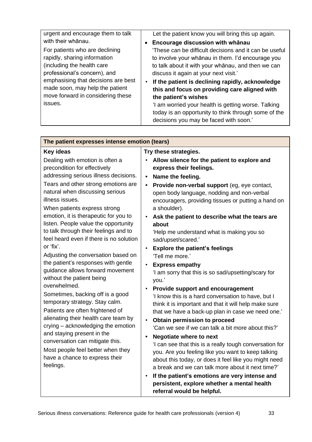| urgent and encourage them to talk                                   | Let the patient know you will bring this up again.     |
|---------------------------------------------------------------------|--------------------------------------------------------|
| with their whānau.                                                  | Encourage discussion with whānau<br>$\bullet$          |
| For patients who are declining                                      | 'These can be difficult decisions and it can be useful |
| rapidly, sharing information                                        | to involve your whānau in them. I'd encourage you      |
| (including the health care                                          | to talk about it with your whanau, and then we can     |
| professional's concern), and<br>emphasising that decisions are best | discuss it again at your next visit.'                  |
|                                                                     | If the patient is declining rapidly, acknowledge       |
| made soon, may help the patient                                     | this and focus on providing care aligned with          |
| move forward in considering these                                   | the patient's wishes                                   |
| issues.                                                             | 'I am worried your health is getting worse. Talking    |
|                                                                     | today is an opportunity to think through some of the   |
|                                                                     | decisions you may be faced with soon.'                 |
|                                                                     |                                                        |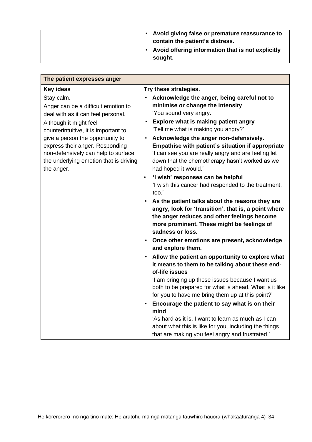|  | Avoid giving false or premature reassurance to<br>contain the patient's distress. |
|--|-----------------------------------------------------------------------------------|
|  | Avoid offering information that is not explicitly<br>sought.                      |

| The patient expresses anger                                                                                                                                                                                                                                                                                                     |                                                                                                                                                                                                                                                                                                                                                                                                                                                                                                                                                                                                                                                                                                                                                                                                                                                                                                                                                                                                                                                                                                                                                                                                                                                                                                                                                                                   |
|---------------------------------------------------------------------------------------------------------------------------------------------------------------------------------------------------------------------------------------------------------------------------------------------------------------------------------|-----------------------------------------------------------------------------------------------------------------------------------------------------------------------------------------------------------------------------------------------------------------------------------------------------------------------------------------------------------------------------------------------------------------------------------------------------------------------------------------------------------------------------------------------------------------------------------------------------------------------------------------------------------------------------------------------------------------------------------------------------------------------------------------------------------------------------------------------------------------------------------------------------------------------------------------------------------------------------------------------------------------------------------------------------------------------------------------------------------------------------------------------------------------------------------------------------------------------------------------------------------------------------------------------------------------------------------------------------------------------------------|
| Key ideas                                                                                                                                                                                                                                                                                                                       | Try these strategies.                                                                                                                                                                                                                                                                                                                                                                                                                                                                                                                                                                                                                                                                                                                                                                                                                                                                                                                                                                                                                                                                                                                                                                                                                                                                                                                                                             |
| Stay calm.<br>Anger can be a difficult emotion to<br>deal with as it can feel personal.<br>Although it might feel<br>counterintuitive, it is important to<br>give a person the opportunity to<br>express their anger. Responding<br>non-defensively can help to surface<br>the underlying emotion that is driving<br>the anger. | Acknowledge the anger, being careful not to<br>minimise or change the intensity<br>'You sound very angry.'<br>Explore what is making patient angry<br>$\bullet$<br>'Tell me what is making you angry?'<br>Acknowledge the anger non-defensively.<br>Empathise with patient's situation if appropriate<br>'I can see you are really angry and are feeling let<br>down that the chemotherapy hasn't worked as we<br>had hoped it would.'<br>'I wish' responses can be helpful<br>$\bullet$<br>'I wish this cancer had responded to the treatment,<br>too.'<br>As the patient talks about the reasons they are<br>$\bullet$<br>angry, look for 'transition', that is, a point where<br>the anger reduces and other feelings become<br>more prominent. These might be feelings of<br>sadness or loss.<br>Once other emotions are present, acknowledge<br>$\bullet$<br>and explore them.<br>Allow the patient an opportunity to explore what<br>$\bullet$<br>it means to them to be talking about these end-<br>of-life issues<br>'I am bringing up these issues because I want us<br>both to be prepared for what is ahead. What is it like<br>for you to have me bring them up at this point?'<br>Encourage the patient to say what is on their<br>$\bullet$<br>mind<br>'As hard as it is, I want to learn as much as I can<br>about what this is like for you, including the things |
|                                                                                                                                                                                                                                                                                                                                 | that are making you feel angry and frustrated.'                                                                                                                                                                                                                                                                                                                                                                                                                                                                                                                                                                                                                                                                                                                                                                                                                                                                                                                                                                                                                                                                                                                                                                                                                                                                                                                                   |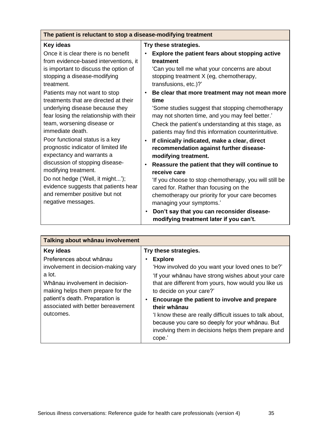| The patient is reluctant to stop a disease-modifying treatment                                                                                                                                                                                                                                                                                                                                                                                                                                                                                                                                                                                                                       |                                                                                                                                                                                                                                                                                                                                                                                                                                                                                                                                                                                                                                                                                                                                                                                                                                                                                                                                                                             |
|--------------------------------------------------------------------------------------------------------------------------------------------------------------------------------------------------------------------------------------------------------------------------------------------------------------------------------------------------------------------------------------------------------------------------------------------------------------------------------------------------------------------------------------------------------------------------------------------------------------------------------------------------------------------------------------|-----------------------------------------------------------------------------------------------------------------------------------------------------------------------------------------------------------------------------------------------------------------------------------------------------------------------------------------------------------------------------------------------------------------------------------------------------------------------------------------------------------------------------------------------------------------------------------------------------------------------------------------------------------------------------------------------------------------------------------------------------------------------------------------------------------------------------------------------------------------------------------------------------------------------------------------------------------------------------|
| Key ideas                                                                                                                                                                                                                                                                                                                                                                                                                                                                                                                                                                                                                                                                            | Try these strategies.                                                                                                                                                                                                                                                                                                                                                                                                                                                                                                                                                                                                                                                                                                                                                                                                                                                                                                                                                       |
| Once it is clear there is no benefit<br>from evidence-based interventions, it<br>is important to discuss the option of<br>stopping a disease-modifying<br>treatment.<br>Patients may not want to stop<br>treatments that are directed at their<br>underlying disease because they<br>fear losing the relationship with their<br>team, worsening disease or<br>immediate death.<br>Poor functional status is a key<br>prognostic indicator of limited life<br>expectancy and warrants a<br>discussion of stopping disease-<br>modifying treatment.<br>Do not hedge ('Well, it might');<br>evidence suggests that patients hear<br>and remember positive but not<br>negative messages. | Explore the patient fears about stopping active<br>treatment<br>'Can you tell me what your concerns are about<br>stopping treatment X (eg, chemotherapy,<br>transfusions, etc.)?'<br>Be clear that more treatment may not mean more<br>$\bullet$<br>time<br>'Some studies suggest that stopping chemotherapy<br>may not shorten time, and you may feel better.'<br>Check the patient's understanding at this stage, as<br>patients may find this information counterintuitive.<br>If clinically indicated, make a clear, direct<br>$\bullet$<br>recommendation against further disease-<br>modifying treatment.<br>Reassure the patient that they will continue to<br>$\bullet$<br>receive care<br>'If you choose to stop chemotherapy, you will still be<br>cared for. Rather than focusing on the<br>chemotherapy our priority for your care becomes<br>managing your symptoms.'<br>Don't say that you can reconsider disease-<br>modifying treatment later if you can't. |

| Talking about whānau involvement                                                                                                                                                                                                        |                                                                                                                                                                                                                                                                                                                                                                                                                                                             |
|-----------------------------------------------------------------------------------------------------------------------------------------------------------------------------------------------------------------------------------------|-------------------------------------------------------------------------------------------------------------------------------------------------------------------------------------------------------------------------------------------------------------------------------------------------------------------------------------------------------------------------------------------------------------------------------------------------------------|
| <b>Key ideas</b>                                                                                                                                                                                                                        | Try these strategies.                                                                                                                                                                                                                                                                                                                                                                                                                                       |
| Preferences about whānau<br>involvement in decision-making vary<br>a lot.<br>Whānau involvement in decision-<br>making helps them prepare for the<br>patient's death. Preparation is<br>associated with better bereavement<br>outcomes. | <b>Explore</b><br>'How involved do you want your loved ones to be?'<br>'If your whanau have strong wishes about your care<br>that are different from yours, how would you like us<br>to decide on your care?'<br>Encourage the patient to involve and prepare<br>their whānau<br>'I know these are really difficult issues to talk about,<br>because you care so deeply for your whanau. But<br>involving them in decisions helps them prepare and<br>cope. |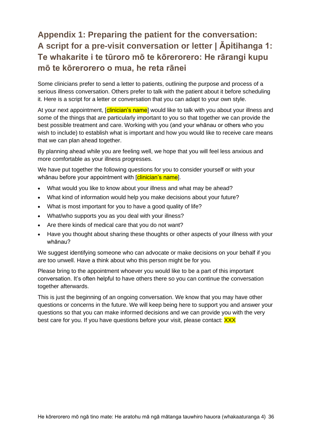# <span id="page-35-0"></span>**Appendix 1: Preparing the patient for the conversation: A script for a pre-visit conversation or letter | Āpitihanga 1: Te whakarite i te tūroro mō te kōrerorero: He rārangi kupu mō te kōrerorero o mua, he reta rānei**

Some clinicians prefer to send a letter to patients, outlining the purpose and process of a serious illness conversation. Others prefer to talk with the patient about it before scheduling it. Here is a script for a letter or conversation that you can adapt to your own style.

At your next appointment, [clinician's name] would like to talk with you about your illness and some of the things that are particularly important to you so that together we can provide the best possible treatment and care. Working with you (and your whānau or others who you wish to include) to establish what is important and how you would like to receive care means that we can plan ahead together.

By planning ahead while you are feeling well, we hope that you will feel less anxious and more comfortable as your illness progresses.

We have put together the following questions for you to consider yourself or with your whānau before your appointment with [clinician's name].

- What would you like to know about your illness and what may be ahead?
- What kind of information would help you make decisions about your future?
- What is most important for you to have a good quality of life?
- What/who supports you as you deal with your illness?
- Are there kinds of medical care that you do not want?
- Have you thought about sharing these thoughts or other aspects of your illness with your whānau?

We suggest identifying someone who can advocate or make decisions on your behalf if you are too unwell. Have a think about who this person might be for you.

Please bring to the appointment whoever you would like to be a part of this important conversation. It's often helpful to have others there so you can continue the conversation together afterwards.

This is just the beginning of an ongoing conversation. We know that you may have other questions or concerns in the future. We will keep being here to support you and answer your questions so that you can make informed decisions and we can provide you with the very best care for you. If you have questions before your visit, please contact: **XXX**